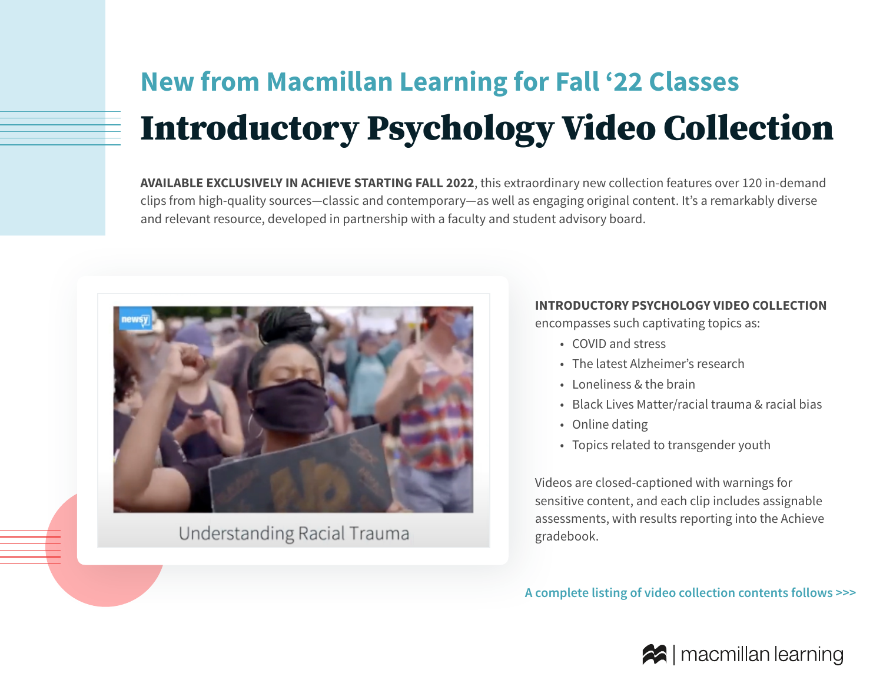# **New from Macmillan Learning for Fall '22 Classes** Introductory Psychology Video Collection

**AVAILABLE EXCLUSIVELY IN ACHIEVE STARTING FALL 2022**, this extraordinary new collection features over 120 in-demand clips from high-quality sources—classic and contemporary—as well as engaging original content. It's a remarkably diverse and relevant resource, developed in partnership with a faculty and student advisory board.



# Understanding Racial Trauma

#### **INTRODUCTORY PSYCHOLOGY VIDEO COLLECTION**

encompasses such captivating topics as:

- COVID and stress
- The latest Alzheimer's research
- Loneliness & the brain
- Black Lives Matter/racial trauma & racial bias
- Online dating
- Topics related to transgender youth

Videos are closed-captioned with warnings for sensitive content, and each clip includes assignable assessments, with results reporting into the Achieve gradebook.

**A complete listing of video collection contents follows >>>**

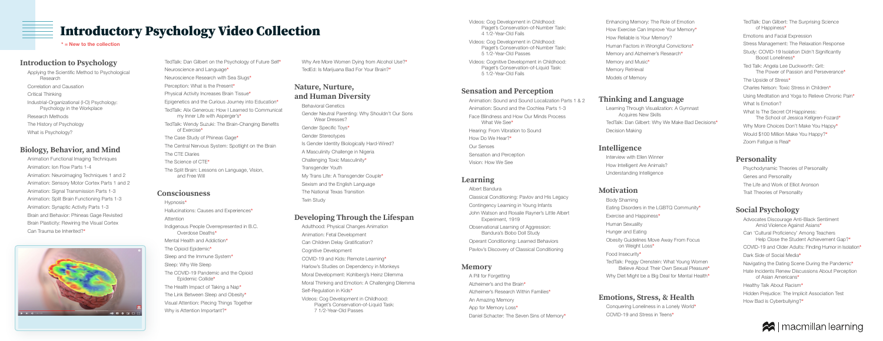#### **Introduction to Psychology**

Applying the Scientific Method to Psychological Research Correlation and Causation Critical Thinking Industrial-Organizational (I-O) Psychology: Psychology in the Workplace Research Methods The History of Psychology What is Psychology?

#### **Biology, Behavior, and Mind**

Animation Functional Imaging Techniques Animation: Ion Flow Parts 1-4 Animation: Neuroimaging Techniques 1 and 2 Animation: Sensory Motor Cortex Parts 1 and 2 Animation: Signal Transmission Parts 1-3 Animation: Split Brain Functioning Parts 1-3 Animation: Synaptic Activity Parts 1-3 Brain and Behavior: Phineas Gage Revisited Brain Plasticity: Rewiring the Visual Cortex Can Trauma be Inherited?\*



Hypnosis\* Hallucinations: Causes and Experiences\* Attention Indigenous People Overrepresented in B.C. Overdose Deaths\* Mental Health and Addiction\* The Opioid Epidemic\* Sleep and the Immune System\* Sleep: Why We Sleep The COVID-19 Pandemic and the Opioid Epidemic Collide\* The Health Impact of Taking a Nap\* The Link Between Sleep and Obesity\* Visual Attention: Piecing Things Together Why is Attention Important?\*

TedTalk: Dan Gilbert on the Psychology of Future Self\* Neuroscience and Language\* Neuroscience Research with Sea Slugs\* Perception: What is the Present\* Physical Activity Increases Brain Tissue\* Epigenetics and the Curious Journey into Education\* TedTalk: Alix Generous: How I Learned to Communicat my Inner Life with Asperger's\* TedTalk: Wendy Suzuki: The Brain-Changing Benefits of Exercise\* The Case Study of Phineas Gage\* The Central Nervous System: Spotlight on the Brain The CTE Diaries The Science of CTE\* The Split Brain: Lessons on Language, Vision, and Free Will

#### **Consciousness**

What We See\* How Do We Hear?\* Our Senses Sensation and Perception Vision: How We See

Why Are More Women Dying from Alcohol Use?\* TedEd: Is Marijuana Bad For Your Brain?\*

#### **Nature, Nurture, and Human Diversity**

A Pill for Forgetting Alzheimer's and the Brain\* An Amazing Memory App for Memory Loss\*

Behavioral Genetics Gender Neutral Parenting: Why Shouldn't Our Sons Wear Dresses? Gender Specific Toys\* Gender Stereotypes Is Gender Identity Biologically Hard-Wired? A Masculinity Challenge in Nigeria Challenging Toxic Masculinity\* Transgender Youth My Trans Life: A Transgender Couple\* Sexism and the English Language The National Texas Transition Twin Study

#### **Developing Through the Lifespan**

Adulthood: Physical Changes Animation Animation: Fetal Development Can Children Delay Gratification? Cognitive Development COVID-19 and Kids: Remote Learning\* Harlow's Studies on Dependency in Monkeys Moral Development: Kohlberg's Heinz Dilemma Moral Thinking and Emotion: A Challenging Dilemma Self-Regulation in Kids\* Videos: Cog Development in Childhood: Piaget's Conservation-of-Liquid Task: 7 1/2-Year-Old Passes

Videos: Cog Development in Childhood: Piaget's Conservation-of-Number Task: 4 1/2-Year-Old Fails

Videos: Cog Development in Childhood: Piaget's Conservation-of-Number Task: 5 1/2-Year-Old Passes

Videos: Cognitive Development in Childhood: Piaget's Conservation-of-Liquid Task: 5 1/2-Year-Old Fails

# **Sensation and Perception**

Animation: Sound and Sound Localization Parts 1 & 2 Animation: Sound and the Cochlea Parts 1-3 Face Blindness and How Our Minds Process

Hearing: From Vibration to Sound

#### **Learning**

Classical Conditioning: Pavlov and His Legacy

Contingency Learning in Young Infants

- Albert Bandura Experiment, 1919
- 
- 

John Watson and Rosalie Rayner's Little Albert

Observational Learning of Aggression: Bandura's Bobo Doll Study

Operant Conditioning: Learned Behaviors

Pavlov's Discovery of Classical Conditioning

#### **Memory**

Alzheimer's Research Within Families\*

Daniel Schacter: The Seven Sins of Memory\*

Enhancing Memory: The Role of Emotion How Exercise Can Improve Your Memory\* How Reliable is Your Memory? Human Factors in Wrongful Convictions\* Memory and Alzheimer's Research\* Memory and Music\* Memory Retrieval Models of Memory

# **Thinking and Language**

Learning Through Visualization: A Gymnast Acquires New Skills TedTalk: Dan Gilbert: Why We Make Bad Decisions\* Decision Making

## **Intelligence**

Interview with Ellen Winner How Intelligent Are Animals? Understanding Intelligence

# **Motivation**

Body Shaming Eating Disorders in the LGBTQ Community\* Exercise and Happiness\* Human Sexuality Hunger and Eating Obesity Guidelines Move Away From Focus on Weight Loss\* Food Insecurity\* TedTalk: Peggy Orenstein: What Young Women Believe About Their Own Sexual Pleasure\*

Why Diet Might be a Big Deal for Mental Health\*

# **Emotions, Stress, & Health**

Conquering Loneliness in a Lonely World\* COVID-19 and Stress in Teens\*

TedTalk: Dan Gilbert: The Surprising Science of Happiness\* Emotions and Facial Expression Stress Management: The Relaxation Response Study: COVID-19 Isolation Didn't Significantly Boost Loneliness\* Ted Talk: Angela Lee Duckworth: Grit: The Power of Passion and Perseverance\* The Upside of Stress\* Charles Nelson: Toxic Stress in Children\* Using Meditation and Yoga to Relieve Chronic Pain\* What Is Emotion? What Is The Secret Of Happiness: The School of Jessica Kellgren-Fozard\* Why More Choices Don't Make You Happy\* Would \$100 Million Make You Happy?\*

Zoom Fatigue is Real\*

# **Personality**

Psychodynamic Theories of Personality Genes and Personality The Life and Work of Elliot Aronson Trait Theories of Personality

# **Social Psychology**

Advocates Discourage Anti-Black Sentiment Amid Violence Against Asians\* Can 'Cultural Proficiency' Among Teachers Help Close the Student Achievement Gap?\* COVID-19 and Older Adults: Finding Humor in Isolation\* Dark Side of Social Media\* Navigating the Dating Scene During the Pandemic\* Hate Incidents Renew Discussions About Perception of Asian Americans\* Healthy Talk About Racism\* Hidden Prejudice: The Implicit Association Test How Bad is Cyberbullying?\*



# Introductory Psychology Video Collection

 $*$  = New to the collection